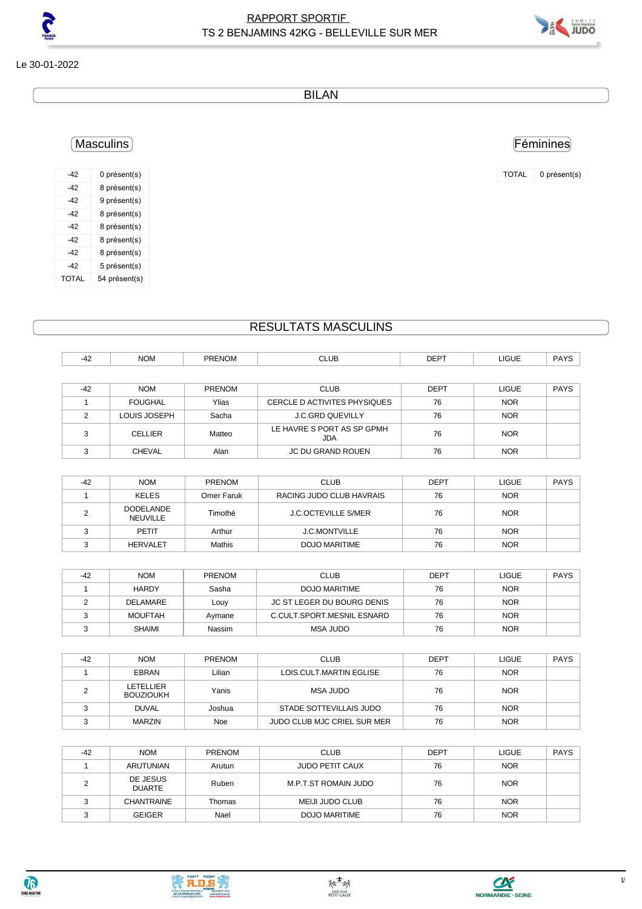

Féminines

TOTAL 0 présent(s)

Le 30-01-2022

BILAN

## Masculins

-42 0 présent(s) -42 8 présent(s) -42 9 présent(s) -42 8 présent(s) -42 8 présent(s) -42 8 présent(s) -42 8 présent(s) -42 5 présent(s) TOTAL 54 présent(s)

## RESULTATS MASCULINS

| -42   | <b>NOM</b>     | <b>PRENOM</b> | <b>CLUB</b>                       | <b>DEPT</b> | LIGUE        | <b>PAYS</b> |
|-------|----------------|---------------|-----------------------------------|-------------|--------------|-------------|
|       |                |               |                                   |             |              |             |
| $-42$ | <b>NOM</b>     | <b>PRENOM</b> | <b>CLUB</b>                       | <b>DEPT</b> | <b>LIGUE</b> | <b>PAYS</b> |
|       | <b>FOUGHAL</b> | Ylias         | CERCLE D ACTIVITES PHYSIQUES      | 76          | <b>NOR</b>   |             |
| っ     | LOUIS JOSEPH   | Sacha         | <b>J.C.GRD QUEVILLY</b>           | 76          | <b>NOR</b>   |             |
| っ     | <b>CELLIER</b> | Matteo        | LE HAVRE S PORT AS SP GPMH<br>JDA | 76          | <b>NOR</b>   |             |
| ⌒     | <b>CHEVAL</b>  | Alan          | JC DU GRAND ROUEN                 | 76          | <b>NOR</b>   |             |

| $-42$ | <b>NOM</b>                   | <b>PRENOM</b> | <b>CLUB</b>                | DEPT | <b>LIGUE</b> | <b>PAYS</b> |
|-------|------------------------------|---------------|----------------------------|------|--------------|-------------|
|       | KELES                        | Omer Faruk    | RACING JUDO CLUB HAVRAIS   | 76   | <b>NOR</b>   |             |
|       | <b>DODELANDE</b><br>NEUVILLE | Timothé       | <b>J.C.OCTEVILLE S/MER</b> | 76   | <b>NOR</b>   |             |
|       | PFTIT                        | Arthur        | <b>J.C.MONTVILLE</b>       | 76   | <b>NOR</b>   |             |
|       | <b>HERVALET</b>              | Mathis        | DOJO MARITIME              | 76   | <b>NOR</b>   |             |

| $-42$ | <b>NOM</b>    | <b>PRENOM</b> | <b>CLUB</b>                | DEPT | <b>LIGUE</b> | <b>PAYS</b> |
|-------|---------------|---------------|----------------------------|------|--------------|-------------|
|       | <b>HARDY</b>  | Sasha         | DOJO MARITIME              | 76   | <b>NOR</b>   |             |
|       | DELAMARE      | Louy          | JC ST LEGER DU BOURG DENIS | 76   | <b>NOR</b>   |             |
|       | MOUFTAH       | Avmane        | C.CULT.SPORT.MESNIL ESNARD | 76   | <b>NOR</b>   |             |
|       | <b>SHAIMI</b> | Nassim        | MSA JUDO                   | 76   | <b>NOR</b>   |             |

| -42 | <b>NOM</b>                    | <b>PRENOM</b> | <b>CLUB</b>                 | <b>DEPT</b> | <b>LIGUE</b> | <b>PAYS</b> |
|-----|-------------------------------|---------------|-----------------------------|-------------|--------------|-------------|
|     | <b>EBRAN</b>                  | Lilian        | LOIS.CULT.MARTIN EGLISE     | 76          | <b>NOR</b>   |             |
|     | LETELLIER<br><b>BOUZIOUKH</b> | Yanis         | MSA JUDO                    | 76          | <b>NOR</b>   |             |
|     | <b>DUVAL</b>                  | Joshua        | STADE SOTTEVILLAIS JUDO     | 76          | <b>NOR</b>   |             |
|     | <b>MARZIN</b>                 | Noe           | JUDO CLUB MJC CRIEL SUR MER | 76          | <b>NOR</b>   |             |

| $-42$ | <b>NOM</b>                | <b>PRENOM</b> | <b>CLUB</b>            | <b>DEPT</b> | <b>LIGUE</b> | <b>PAYS</b> |
|-------|---------------------------|---------------|------------------------|-------------|--------------|-------------|
|       | <b>ARUTUNIAN</b>          | Arutun        | <b>JUDO PETIT CAUX</b> | 76          | <b>NOR</b>   |             |
|       | DE JESUS<br><b>DUARTE</b> | Ruben         | M.P.T.ST ROMAIN JUDO   | 76          | <b>NOR</b>   |             |
|       | <b>CHANTRAINE</b>         | Thomas        | MEIJI JUDO CLUB        | 76          | <b>NOR</b>   |             |
|       | <b>GEIGER</b>             | Nael          | DOJO MARITIME          | 76          | <b>NOR</b>   |             |